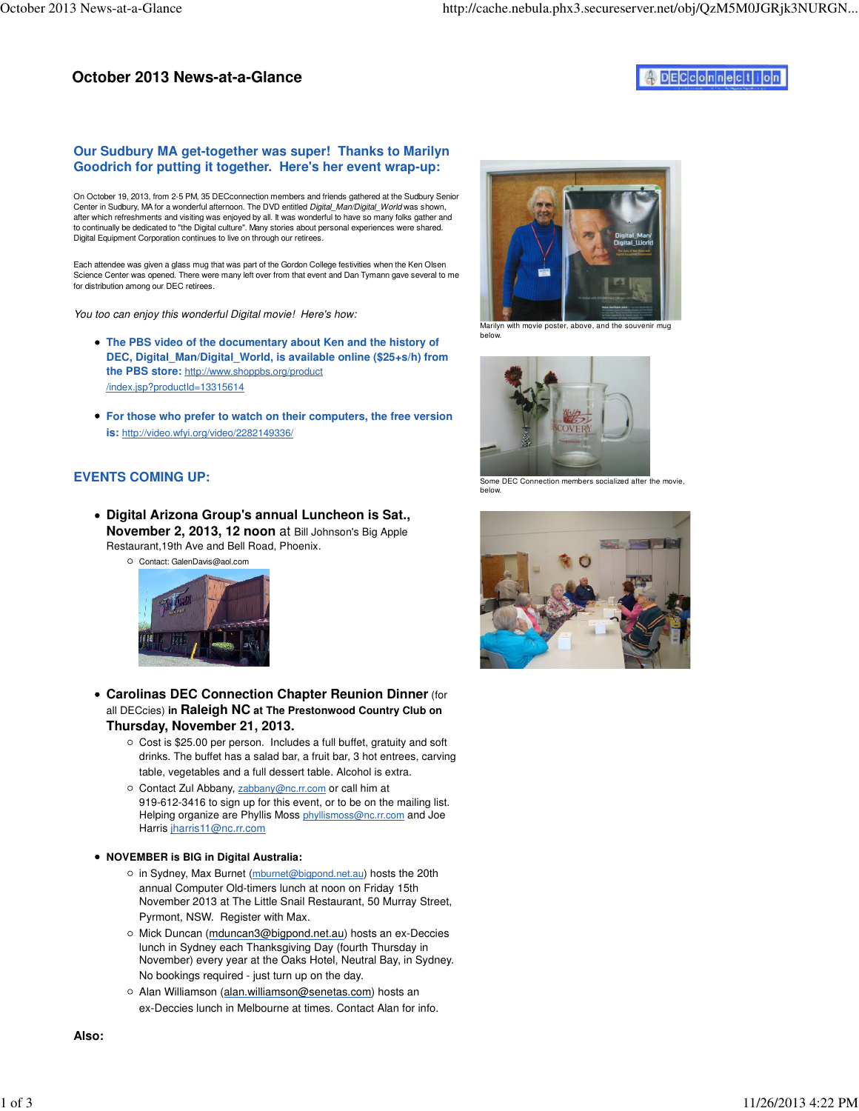# **October 2013 News-at-a-Glance**

## DECconnection

### **Our Sudbury MA get-together was super! Thanks to Marilyn Goodrich for putting it together. Here's her event wrap-up:**

On October 19, 2013, from 2-5 PM, 35 DECconnection members and friends gathered at the Sudbury Senior Center in Sudbury, MA for a wonderful afternoon. The DVD entitled Digital\_Man/Digital\_World was shown, after which refreshments and visiting was enjoyed by all. It was wonderful to have so many folks gather and to continually be dedicated to "the Digital culture". Many stories about personal experiences were shared. Digital Equipment Corporation continues to live on through our retirees.

Each attendee was given a glass mug that was part of the Gordon College festivities when the Ken Olsen Science Center was opened. There were many left over from that event and Dan Tymann gave several to me for distribution among our DEC retirees.

You too can enjoy this wonderful Digital movie! Here's how:

- **The PBS video of the documentary about Ken and the history of DEC, Digital\_Man/Digital\_World, is available online (\$25+s/h) from the PBS store:** http://www.shoppbs.org/product /index.jsp?productId=13315614
- **For those who prefer to watch on their computers, the free version is:** http://video.wfyi.org/video/2282149336/

### **EVENTS COMING UP:**

- **Digital Arizona Group's annual Luncheon is Sat., November 2, 2013, 12 noon** at Bill Johnson's Big Apple Restaurant,19th Ave and Bell Road, Phoenix.
	- Contact: GalenDavis@aol.com



- **Carolinas DEC Connection Chapter Reunion Dinner** (for all DECcies) **in Raleigh NC at The Prestonwood Country Club on Thursday, November 21, 2013.**
	- $\circ$  Cost is \$25.00 per person. Includes a full buffet, gratuity and soft drinks. The buffet has a salad bar, a fruit bar, 3 hot entrees, carving table, vegetables and a full dessert table. Alcohol is extra.
	- O Contact Zul Abbany, zabbany@nc.rr.com or call him at 919-612-3416 to sign up for this event, or to be on the mailing list. Helping organize are Phyllis Moss phyllismoss@nc.rr.com and Joe Harris jharris11@nc.rr.com

**NOVEMBER is BIG in Digital Australia:** 

- o in Sydney, Max Burnet (mburnet@bigpond.net.au) hosts the 20th annual Computer Old-timers lunch at noon on Friday 15th November 2013 at The Little Snail Restaurant, 50 Murray Street, Pyrmont, NSW. Register with Max.
- o Mick Duncan (mduncan3@bigpond.net.au) hosts an ex-Deccies lunch in Sydney each Thanksgiving Day (fourth Thursday in November) every year at the Oaks Hotel, Neutral Bay, in Sydney. No bookings required - just turn up on the day.
- Alan Williamson (alan.williamson@senetas.com) hosts an ex-Deccies lunch in Melbourne at times. Contact Alan for info.





arilyn with movie poster, above, and the souvenir mug below.



Some DEC Connection members socialized after the movie, below.

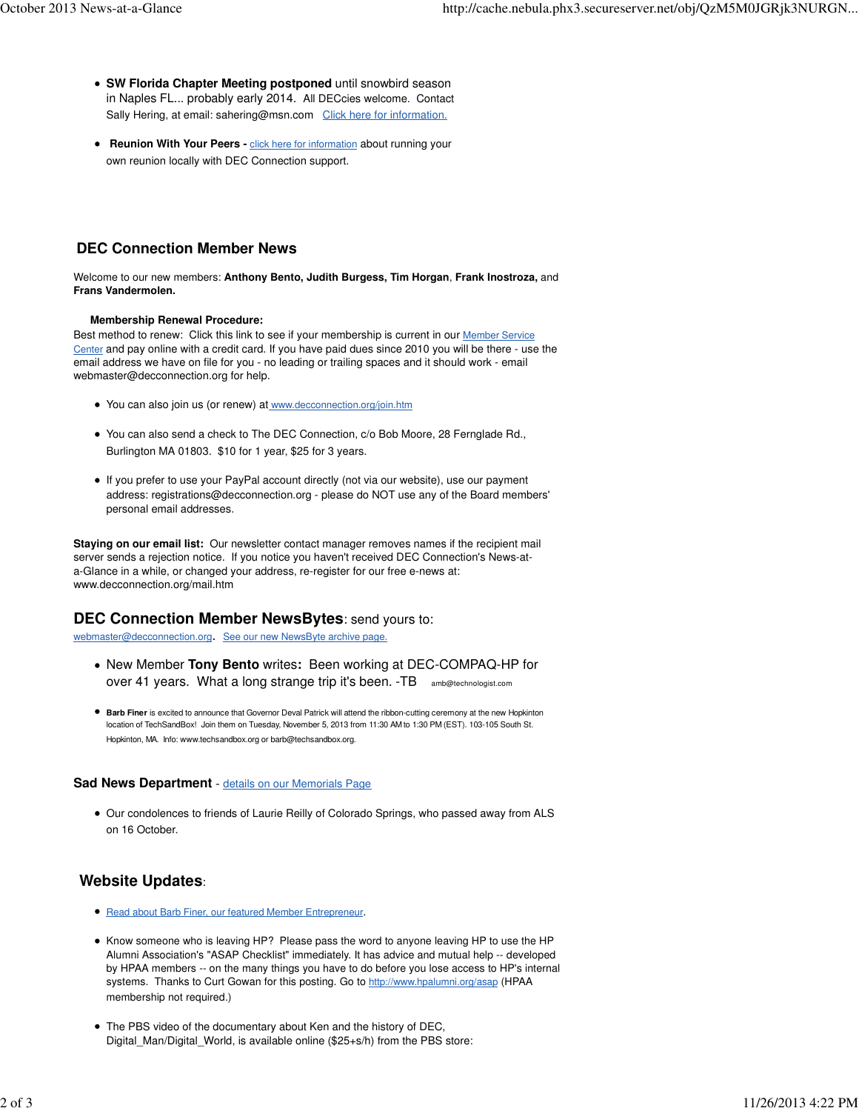- **SW Florida Chapter Meeting postponed** until snowbird season in Naples FL... probably early 2014. All DECcies welcome. Contact Sally Hering, at email: sahering@msn.com Click here for information.
- **Reunion With Your Peers click here for information about running your** own reunion locally with DEC Connection support.

# **DEC Connection Member News**

Welcome to our new members: **Anthony Bento, Judith Burgess, Tim Horgan**, **Frank Inostroza,** and **Frans Vandermolen.**

#### **Membership Renewal Procedure:**

Best method to renew: Click this link to see if your membership is current in our Member Service Center and pay online with a credit card. If you have paid dues since 2010 you will be there - use the email address we have on file for you - no leading or trailing spaces and it should work - email webmaster@decconnection.org for help.

- You can also join us (or renew) at www.decconnection.org/join.htm
- You can also send a check to The DEC Connection, c/o Bob Moore, 28 Fernglade Rd., Burlington MA 01803. \$10 for 1 year, \$25 for 3 years.
- If you prefer to use your PayPal account directly (not via our website), use our payment address: registrations@decconnection.org - please do NOT use any of the Board members' personal email addresses.

**Staying on our email list:** Our newsletter contact manager removes names if the recipient mail server sends a rejection notice. If you notice you haven't received DEC Connection's News-ata-Glance in a while, or changed your address, re-register for our free e-news at: www.decconnection.org/mail.htm

### **DEC Connection Member NewsBytes**: send yours to:

webmaster@decconnection.org. See our new NewsByte archive page.

- New Member **Tony Bento** writes**:** Been working at DEC-COMPAQ-HP for over 41 years. What a long strange trip it's been. -TB amb@technologist.com
- **Barb Finer** is excited to announce that Governor Deval Patrick will attend the ribbon-cutting ceremony at the new Hopkinton location of TechSandBox! Join them on Tuesday, November 5, 2013 from 11:30 AM to 1:30 PM (EST). 103-105 South St. Hopkinton, MA. Info: www.techsandbox.org or barb@techsandbox.org.

#### **Sad News Department** - details on our Memorials Page

Our condolences to friends of Laurie Reilly of Colorado Springs, who passed away from ALS on 16 October.

## **Website Updates**:

- **Read about Barb Finer, our featured Member Entrepreneur.**
- Know someone who is leaving HP? Please pass the word to anyone leaving HP to use the HP Alumni Association's "ASAP Checklist" immediately. It has advice and mutual help -- developed by HPAA members -- on the many things you have to do before you lose access to HP's internal systems. Thanks to Curt Gowan for this posting. Go to http://www.hpalumni.org/asap (HPAA membership not required.)
- The PBS video of the documentary about Ken and the history of DEC, Digital\_Man/Digital\_World, is available online (\$25+s/h) from the PBS store: